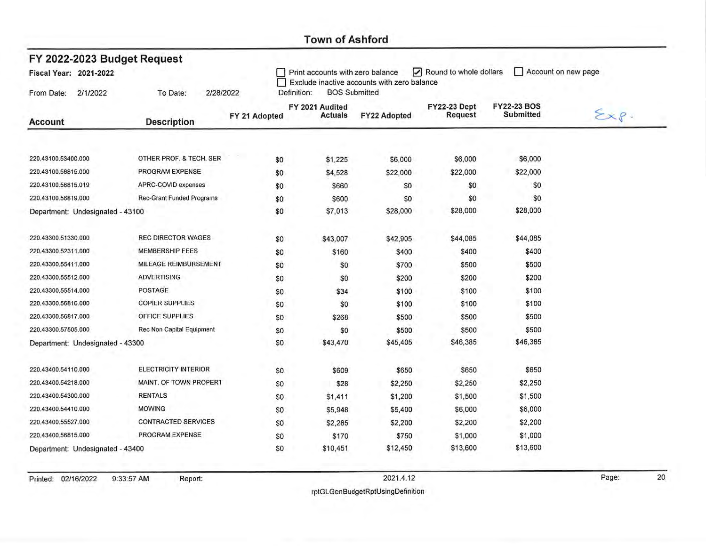| FY 2022-2023 Budget Request      |                                  |               |                                                                                                                                  |                     |                                |                                        |                   |  |  |  |
|----------------------------------|----------------------------------|---------------|----------------------------------------------------------------------------------------------------------------------------------|---------------------|--------------------------------|----------------------------------------|-------------------|--|--|--|
| Fiscal Year: 2021-2022           |                                  |               | Round to whole dollars<br>Account on new page<br>Print accounts with zero balance<br>Exclude inactive accounts with zero balance |                     |                                |                                        |                   |  |  |  |
| 2/1/2022<br>From Date:           | 2/28/2022<br>To Date:            |               | <b>BOS Submitted</b><br>Definition:                                                                                              |                     |                                |                                        |                   |  |  |  |
|                                  |                                  | FY 21 Adopted | FY 2021 Audited<br><b>Actuals</b>                                                                                                | <b>FY22 Adopted</b> | <b>FY22-23 Dept</b><br>Request | <b>FY22-23 BOS</b><br><b>Submitted</b> | $\Sigma x \rho$ . |  |  |  |
| <b>Account</b>                   | <b>Description</b>               |               |                                                                                                                                  |                     |                                |                                        |                   |  |  |  |
| 220.43100.53400.000              | OTHER PROF. & TECH. SER          | \$0           | \$1,225                                                                                                                          | \$6,000             | \$6,000                        | \$6,000                                |                   |  |  |  |
| 220.43100.56815.000              | PROGRAM EXPENSE                  | \$0           | \$4,528                                                                                                                          | \$22,000            | \$22,000                       | \$22,000                               |                   |  |  |  |
| 220.43100.56815.019              | APRC-COVID expenses              | \$0           | \$660                                                                                                                            | \$0                 | \$0                            | \$0                                    |                   |  |  |  |
| 220.43100.56819.000              | <b>Rec-Grant Funded Programs</b> | \$0           | \$600                                                                                                                            | \$0                 | \$0                            | \$0                                    |                   |  |  |  |
| Department: Undesignated - 43100 |                                  | \$0           | \$7,013                                                                                                                          | \$28,000            | \$28,000                       | \$28,000                               |                   |  |  |  |
| 220.43300.51330.000              | <b>REC DIRECTOR WAGES</b>        | \$0           | \$43,007                                                                                                                         | \$42,905            | \$44,085                       | \$44,085                               |                   |  |  |  |
| 220.43300.52311.000              | <b>MEMBERSHIP FEES</b>           | \$0           | \$160                                                                                                                            | \$400               | \$400                          | \$400                                  |                   |  |  |  |
| 220.43300.55411.000              | MILEAGE REIMBURSEMENT            | \$0           | \$0                                                                                                                              | \$700               | \$500                          | \$500                                  |                   |  |  |  |
| 220.43300.55512.000              | <b>ADVERTISING</b>               | \$0           | \$0                                                                                                                              | \$200               | \$200                          | \$200                                  |                   |  |  |  |
| 220.43300.55514.000              | <b>POSTAGE</b>                   | \$0           | \$34                                                                                                                             | \$100               | \$100                          | \$100                                  |                   |  |  |  |
| 220.43300.56816.000              | <b>COPIER SUPPLIES</b>           | \$0           | \$0                                                                                                                              | \$100               | \$100                          | \$100                                  |                   |  |  |  |
| 220.43300.56817.000              | OFFICE SUPPLIES                  | \$0           | \$268                                                                                                                            | \$500               | \$500                          | \$500                                  |                   |  |  |  |
| 220.43300.57505.000              | Rec Non Capital Equipment        | \$0           | \$0                                                                                                                              | \$500               | \$500                          | \$500                                  |                   |  |  |  |
| Department: Undesignated - 43300 |                                  | \$0           | \$43,470                                                                                                                         | \$45,405            | \$46,385                       | \$46,385                               |                   |  |  |  |
| 220.43400.54110.000              | ELECTRICITY INTERIOR             | \$0           | \$609                                                                                                                            | \$650               | \$650                          | \$650                                  |                   |  |  |  |
| 220.43400.54218.000              | MAINT. OF TOWN PROPERT           | \$0           | \$28                                                                                                                             | \$2,250             | \$2,250                        | \$2,250                                |                   |  |  |  |
| 220.43400.54300.000              | <b>RENTALS</b>                   | \$0           | \$1,411                                                                                                                          | \$1,200             | \$1,500                        | \$1,500                                |                   |  |  |  |
| 220.43400.54410.000              | <b>MOWING</b>                    | \$0           | \$5,948                                                                                                                          | \$5,400             | \$6,000                        | \$6,000                                |                   |  |  |  |
| 220.43400.55527.000              | <b>CONTRACTED SERVICES</b>       | \$0           | \$2,285                                                                                                                          | \$2,200             | \$2,200                        | \$2,200                                |                   |  |  |  |
| 220.43400.56815.000              | PROGRAM EXPENSE                  | \$0           | \$170                                                                                                                            | \$750               | \$1,000                        | \$1,000                                |                   |  |  |  |
| Department: Undesignated - 43400 |                                  | \$0           | \$10,451                                                                                                                         | \$12,450            | \$13,600                       | \$13,600                               |                   |  |  |  |

Printed: 02/16/2022 9:33:57 AM

Report:

2021.4.12

 $\overline{20}$ 

rptGLGenBudgetRptUsingDefinition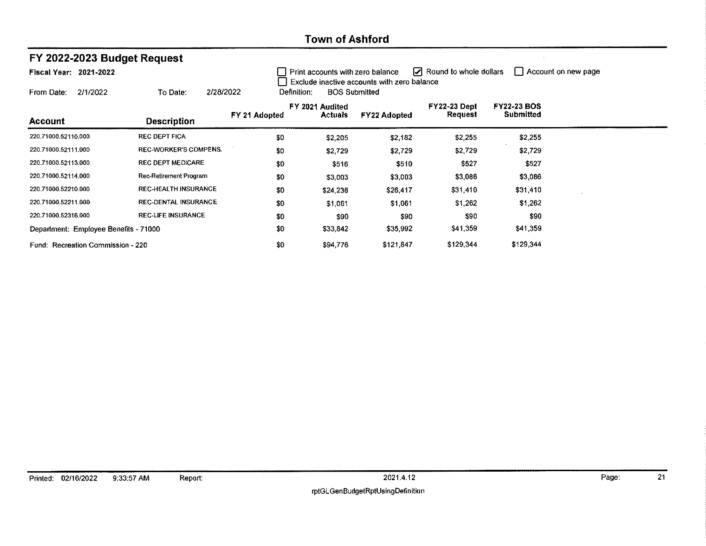| FY 2022-2023 Budget Request           |                              |               |                                                                                                                                                          |                     |                         |                    |  |  |  |
|---------------------------------------|------------------------------|---------------|----------------------------------------------------------------------------------------------------------------------------------------------------------|---------------------|-------------------------|--------------------|--|--|--|
| Fiscal Year: 2021-2022                |                              |               | $\boxed{\phantom{1}}$ Round to whole dollars<br>  Account on new page<br>Print accounts with zero balance<br>Exclude inactive accounts with zero balance |                     |                         |                    |  |  |  |
| 2/1/2022<br>From Date:                | 2/28/2022<br>To Date:        |               | <b>BOS Submitted</b><br>Definition:                                                                                                                      |                     |                         | <b>FY22-23 BOS</b> |  |  |  |
| Account                               | <b>Description</b>           | FY 21 Adopted | FY 2021 Audited<br><b>Actuals</b>                                                                                                                        | <b>FY22 Adopted</b> | FY22-23 Dept<br>Request | Submitted          |  |  |  |
| 220.71000.52110.000                   | <b>REC DEPT FICA</b>         | \$0           | \$2,205                                                                                                                                                  | \$2,182             | \$2,255                 | \$2,255            |  |  |  |
| 220.71000,52111,000                   | <b>REC-WORKER'S COMPENS.</b> | \$0           | \$2,729                                                                                                                                                  | \$2,729             | \$2,729                 | \$2,729            |  |  |  |
| 220.71000.52113.000                   | <b>REC DEPT MEDICARE</b>     | \$0           | \$516                                                                                                                                                    | \$510               | \$527                   | \$527              |  |  |  |
| 220.71000.52114.000                   | Rec-Retirement Program       | \$0           | \$3,003                                                                                                                                                  | \$3,003             | \$3,086                 | \$3,086            |  |  |  |
| 220.71000.52210.000                   | <b>REC-HEALTH INSURANCE</b>  | \$0           | \$24,238                                                                                                                                                 | \$26,417            | \$31,410                | \$31,410           |  |  |  |
| 220.71000.52211.000                   | <b>REC-DENTAL INSURANCE</b>  | \$0           | \$1,061                                                                                                                                                  | \$1,061             | \$1,262                 | \$1.262            |  |  |  |
| 220.71000.52316.000                   | <b>REC-LIFE INSURANCE</b>    | \$0           | \$90                                                                                                                                                     | \$90                | \$90                    | \$90               |  |  |  |
| Department: Employee Benefits - 71000 |                              | \$0           | \$33,842                                                                                                                                                 | \$35,992            | \$41,359                | \$41,359           |  |  |  |
| Fund: Recreation Commission - 220     |                              |               | \$94,776                                                                                                                                                 | \$121,847           | \$129,344               | \$129,344          |  |  |  |

 $\overline{21}$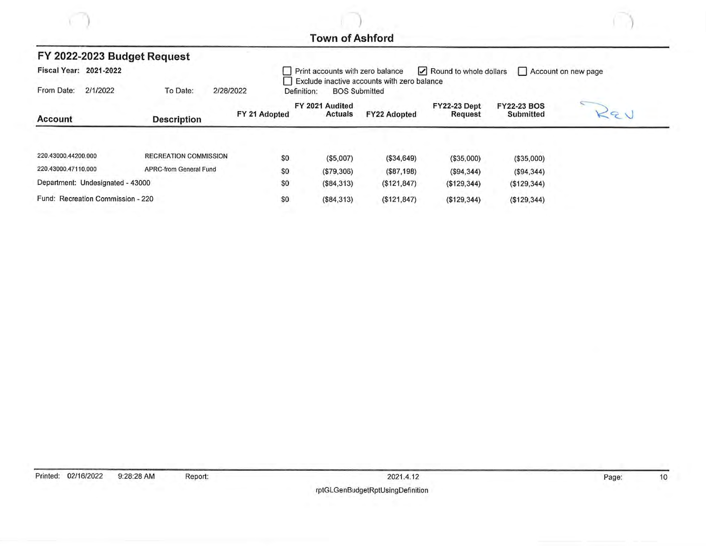|                                                      |                    | FY 2022-2023 Budget Request  |                                                                                                                                                   |             |                                   |                      |                                |                                 |  |  |
|------------------------------------------------------|--------------------|------------------------------|---------------------------------------------------------------------------------------------------------------------------------------------------|-------------|-----------------------------------|----------------------|--------------------------------|---------------------------------|--|--|
| Fiscal Year: 2021-2022                               |                    |                              | $\triangleright$ Round to whole dollars<br>Print accounts with zero balance<br>Account on new page<br>Exclude inactive accounts with zero balance |             |                                   |                      |                                |                                 |  |  |
| From Date:                                           | 2/1/2022           | To Date:                     | 2/28/2022                                                                                                                                         | Definition: |                                   | <b>BOS Submitted</b> |                                |                                 |  |  |
| <b>Account</b>                                       | <b>Description</b> |                              | FY 21 Adopted                                                                                                                                     |             | FY 2021 Audited<br><b>Actuals</b> | <b>FY22 Adopted</b>  | <b>FY22-23 Dept</b><br>Request | <b>FY22-23 BOS</b><br>Submitted |  |  |
|                                                      |                    |                              |                                                                                                                                                   |             |                                   |                      |                                |                                 |  |  |
| 220.43000.44200.000                                  |                    | <b>RECREATION COMMISSION</b> |                                                                                                                                                   | \$0         | (\$5,007)                         | (\$34,649)           | (\$35,000)                     | (\$35,000)                      |  |  |
| 220.43000.47110.000<br><b>APRC-from General Fund</b> |                    |                              | \$0                                                                                                                                               | (\$79,306)  | $(\$87,198)$                      | (S94, 344)           | (\$94,344)                     |                                 |  |  |
| Department: Undesignated - 43000                     |                    |                              |                                                                                                                                                   | \$0         | (\$84,313)                        | (\$121, 847)         | (\$129,344)                    | (\$129,344)                     |  |  |
| Fund: Recreation Commission - 220                    |                    |                              |                                                                                                                                                   | \$0         | (\$84,313)                        | ( \$121, 847)        | (\$129,344)                    | (\$129,344)                     |  |  |

Page:

 $10$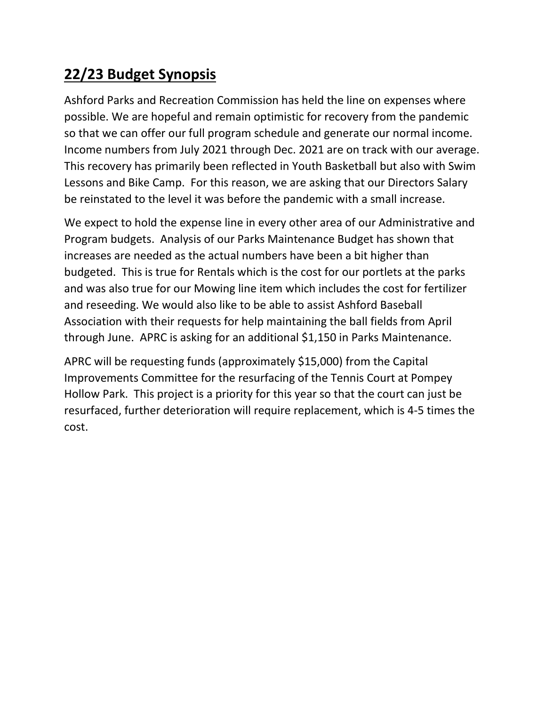## **22/23 Budget Synopsis**

Ashford Parks and Recreation Commission has held the line on expenses where possible. We are hopeful and remain optimistic for recovery from the pandemic so that we can offer our full program schedule and generate our normal income. Income numbers from July 2021 through Dec. 2021 are on track with our average. This recovery has primarily been reflected in Youth Basketball but also with Swim Lessons and Bike Camp. For this reason, we are asking that our Directors Salary be reinstated to the level it was before the pandemic with a small increase.

We expect to hold the expense line in every other area of our Administrative and Program budgets. Analysis of our Parks Maintenance Budget has shown that increases are needed as the actual numbers have been a bit higher than budgeted. This is true for Rentals which is the cost for our portlets at the parks and was also true for our Mowing line item which includes the cost for fertilizer and reseeding. We would also like to be able to assist Ashford Baseball Association with their requests for help maintaining the ball fields from April through June. APRC is asking for an additional \$1,150 in Parks Maintenance.

APRC will be requesting funds (approximately \$15,000) from the Capital Improvements Committee for the resurfacing of the Tennis Court at Pompey Hollow Park. This project is a priority for this year so that the court can just be resurfaced, further deterioration will require replacement, which is 4-5 times the cost.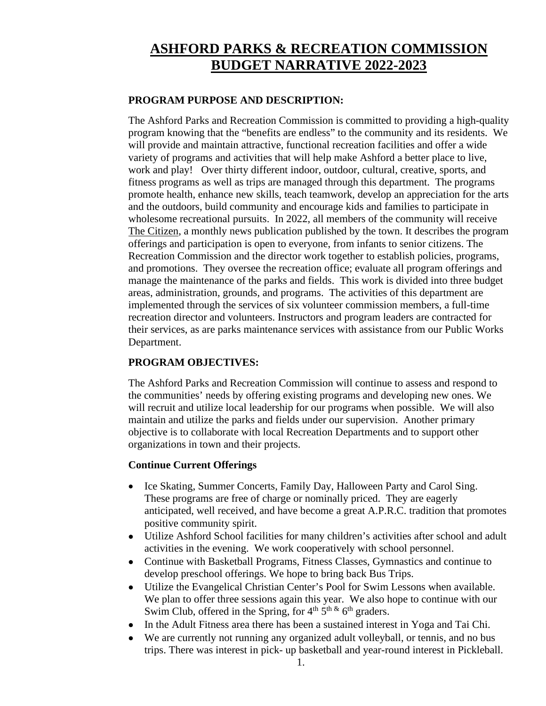## **ASHFORD PARKS & RECREATION COMMISSION BUDGET NARRATIVE 2022-2023**

#### **PROGRAM PURPOSE AND DESCRIPTION:**

The Ashford Parks and Recreation Commission is committed to providing a high-quality program knowing that the "benefits are endless" to the community and its residents. We will provide and maintain attractive, functional recreation facilities and offer a wide variety of programs and activities that will help make Ashford a better place to live, work and play! Over thirty different indoor, outdoor, cultural, creative, sports, and fitness programs as well as trips are managed through this department. The programs promote health, enhance new skills, teach teamwork, develop an appreciation for the arts and the outdoors, build community and encourage kids and families to participate in wholesome recreational pursuits. In 2022, all members of the community will receive The Citizen, a monthly news publication published by the town. It describes the program offerings and participation is open to everyone, from infants to senior citizens. The Recreation Commission and the director work together to establish policies, programs, and promotions. They oversee the recreation office; evaluate all program offerings and manage the maintenance of the parks and fields. This work is divided into three budget areas, administration, grounds, and programs. The activities of this department are implemented through the services of six volunteer commission members, a full-time recreation director and volunteers. Instructors and program leaders are contracted for their services, as are parks maintenance services with assistance from our Public Works Department.

#### **PROGRAM OBJECTIVES:**

The Ashford Parks and Recreation Commission will continue to assess and respond to the communities' needs by offering existing programs and developing new ones. We will recruit and utilize local leadership for our programs when possible. We will also maintain and utilize the parks and fields under our supervision. Another primary objective is to collaborate with local Recreation Departments and to support other organizations in town and their projects.

#### **Continue Current Offerings**

- Ice Skating, Summer Concerts, Family Day, Halloween Party and Carol Sing. These programs are free of charge or nominally priced. They are eagerly anticipated, well received, and have become a great A.P.R.C. tradition that promotes positive community spirit.
- Utilize Ashford School facilities for many children's activities after school and adult activities in the evening. We work cooperatively with school personnel.
- Continue with Basketball Programs, Fitness Classes, Gymnastics and continue to develop preschool offerings. We hope to bring back Bus Trips.
- Utilize the Evangelical Christian Center's Pool for Swim Lessons when available. We plan to offer three sessions again this year. We also hope to continue with our Swim Club, offered in the Spring, for  $4<sup>th</sup> 5<sup>th</sup> \& 6<sup>th</sup>$  graders.
- In the Adult Fitness area there has been a sustained interest in Yoga and Tai Chi.
- We are currently not running any organized adult volleyball, or tennis, and no bus trips. There was interest in pick- up basketball and year-round interest in Pickleball.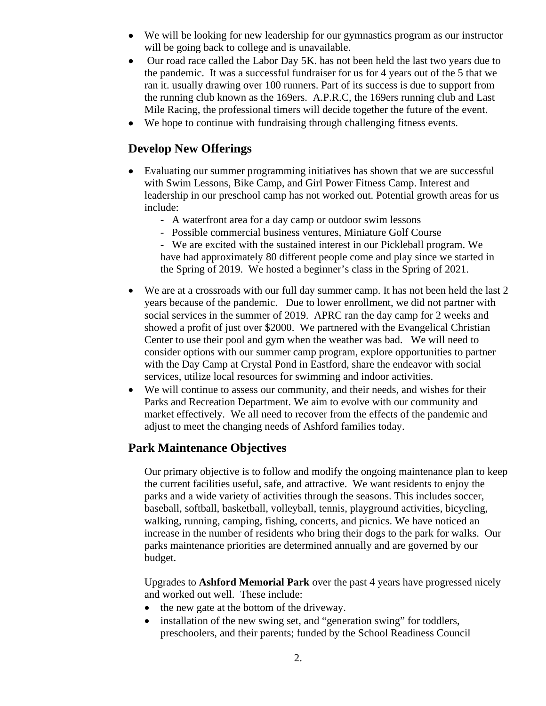- We will be looking for new leadership for our gymnastics program as our instructor will be going back to college and is unavailable.
- Our road race called the Labor Day 5K, has not been held the last two years due to the pandemic. It was a successful fundraiser for us for 4 years out of the 5 that we ran it. usually drawing over 100 runners. Part of its success is due to support from the running club known as the 169ers. A.P.R.C, the 169ers running club and Last Mile Racing, the professional timers will decide together the future of the event.
- We hope to continue with fundraising through challenging fitness events.

### **Develop New Offerings**

- Evaluating our summer programming initiatives has shown that we are successful with Swim Lessons, Bike Camp, and Girl Power Fitness Camp. Interest and leadership in our preschool camp has not worked out. Potential growth areas for us include:
	- A waterfront area for a day camp or outdoor swim lessons
	- Possible commercial business ventures, Miniature Golf Course
	- We are excited with the sustained interest in our Pickleball program. We have had approximately 80 different people come and play since we started in the Spring of 2019. We hosted a beginner's class in the Spring of 2021.
- We are at a crossroads with our full day summer camp. It has not been held the last 2 years because of the pandemic. Due to lower enrollment, we did not partner with social services in the summer of 2019. APRC ran the day camp for 2 weeks and showed a profit of just over \$2000. We partnered with the Evangelical Christian Center to use their pool and gym when the weather was bad. We will need to consider options with our summer camp program, explore opportunities to partner with the Day Camp at Crystal Pond in Eastford, share the endeavor with social services, utilize local resources for swimming and indoor activities.
- We will continue to assess our community, and their needs, and wishes for their Parks and Recreation Department. We aim to evolve with our community and market effectively. We all need to recover from the effects of the pandemic and adjust to meet the changing needs of Ashford families today.

## **Park Maintenance Objectives**

Our primary objective is to follow and modify the ongoing maintenance plan to keep the current facilities useful, safe, and attractive. We want residents to enjoy the parks and a wide variety of activities through the seasons. This includes soccer, baseball, softball, basketball, volleyball, tennis, playground activities, bicycling, walking, running, camping, fishing, concerts, and picnics. We have noticed an increase in the number of residents who bring their dogs to the park for walks. Our parks maintenance priorities are determined annually and are governed by our budget.

Upgrades to **Ashford Memorial Park** over the past 4 years have progressed nicely and worked out well. These include:

- the new gate at the bottom of the driveway.
- installation of the new swing set, and "generation swing" for toddlers, preschoolers, and their parents; funded by the School Readiness Council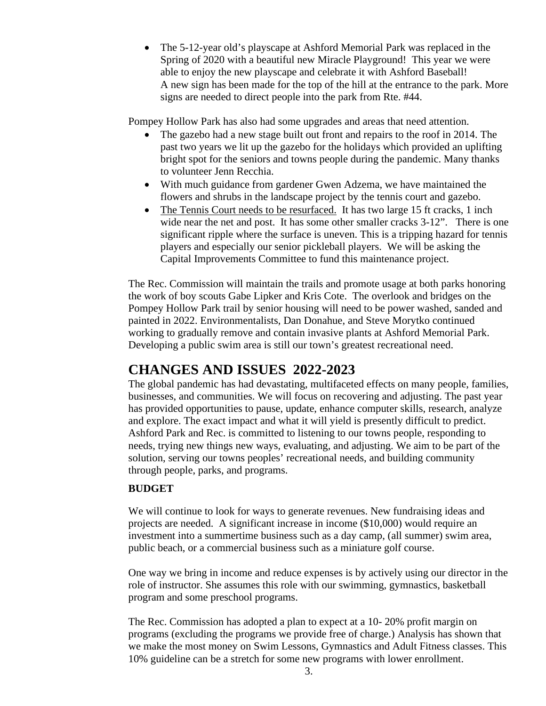• The 5-12-year old's playscape at Ashford Memorial Park was replaced in the Spring of 2020 with a beautiful new Miracle Playground! This year we were able to enjoy the new playscape and celebrate it with Ashford Baseball! A new sign has been made for the top of the hill at the entrance to the park. More signs are needed to direct people into the park from Rte. #44.

Pompey Hollow Park has also had some upgrades and areas that need attention.

- The gazebo had a new stage built out front and repairs to the roof in 2014. The past two years we lit up the gazebo for the holidays which provided an uplifting bright spot for the seniors and towns people during the pandemic. Many thanks to volunteer Jenn Recchia.
- With much guidance from gardener Gwen Adzema, we have maintained the flowers and shrubs in the landscape project by the tennis court and gazebo.
- The Tennis Court needs to be resurfaced. It has two large 15 ft cracks, 1 inch wide near the net and post. It has some other smaller cracks  $3-12$ ". There is one significant ripple where the surface is uneven. This is a tripping hazard for tennis players and especially our senior pickleball players. We will be asking the Capital Improvements Committee to fund this maintenance project.

The Rec. Commission will maintain the trails and promote usage at both parks honoring the work of boy scouts Gabe Lipker and Kris Cote. The overlook and bridges on the Pompey Hollow Park trail by senior housing will need to be power washed, sanded and painted in 2022. Environmentalists, Dan Donahue, and Steve Morytko continued working to gradually remove and contain invasive plants at Ashford Memorial Park. Developing a public swim area is still our town's greatest recreational need.

## **CHANGES AND ISSUES 2022-2023**

The global pandemic has had devastating, multifaceted effects on many people, families, businesses, and communities. We will focus on recovering and adjusting. The past year has provided opportunities to pause, update, enhance computer skills, research, analyze and explore. The exact impact and what it will yield is presently difficult to predict. Ashford Park and Rec. is committed to listening to our towns people, responding to needs, trying new things new ways, evaluating, and adjusting. We aim to be part of the solution, serving our towns peoples' recreational needs, and building community through people, parks, and programs.

#### **BUDGET**

We will continue to look for ways to generate revenues. New fundraising ideas and projects are needed. A significant increase in income (\$10,000) would require an investment into a summertime business such as a day camp, (all summer) swim area, public beach, or a commercial business such as a miniature golf course.

One way we bring in income and reduce expenses is by actively using our director in the role of instructor. She assumes this role with our swimming, gymnastics, basketball program and some preschool programs.

The Rec. Commission has adopted a plan to expect at a 10- 20% profit margin on programs (excluding the programs we provide free of charge.) Analysis has shown that we make the most money on Swim Lessons, Gymnastics and Adult Fitness classes. This 10% guideline can be a stretch for some new programs with lower enrollment.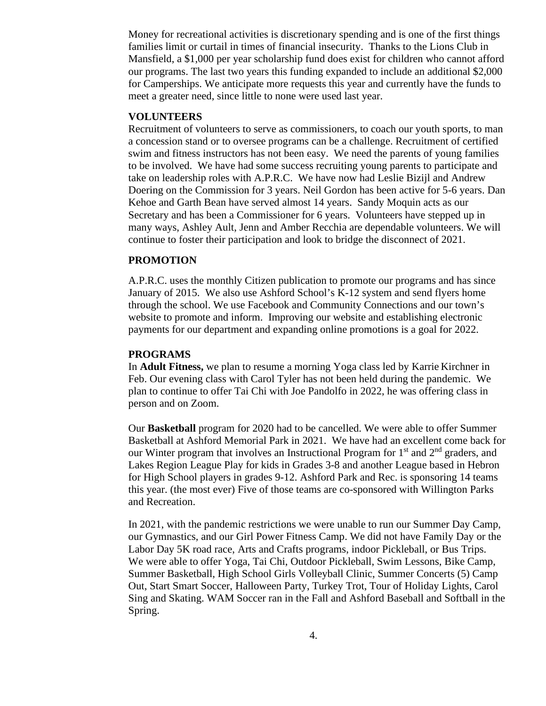Money for recreational activities is discretionary spending and is one of the first things families limit or curtail in times of financial insecurity. Thanks to the Lions Club in Mansfield, a \$1,000 per year scholarship fund does exist for children who cannot afford our programs. The last two years this funding expanded to include an additional \$2,000 for Camperships. We anticipate more requests this year and currently have the funds to meet a greater need, since little to none were used last year.

#### **VOLUNTEERS**

Recruitment of volunteers to serve as commissioners, to coach our youth sports, to man a concession stand or to oversee programs can be a challenge. Recruitment of certified swim and fitness instructors has not been easy. We need the parents of young families to be involved. We have had some success recruiting young parents to participate and take on leadership roles with A.P.R.C. We have now had Leslie Bizijl and Andrew Doering on the Commission for 3 years. Neil Gordon has been active for 5-6 years. Dan Kehoe and Garth Bean have served almost 14 years. Sandy Moquin acts as our Secretary and has been a Commissioner for 6 years. Volunteers have stepped up in many ways, Ashley Ault, Jenn and Amber Recchia are dependable volunteers. We will continue to foster their participation and look to bridge the disconnect of 2021.

#### **PROMOTION**

A.P.R.C. uses the monthly Citizen publication to promote our programs and has since January of 2015. We also use Ashford School's K-12 system and send flyers home through the school. We use Facebook and Community Connections and our town's website to promote and inform. Improving our website and establishing electronic payments for our department and expanding online promotions is a goal for 2022.

#### **PROGRAMS**

In **Adult Fitness,** we plan to resume a morning Yoga class led by Karrie Kirchner in Feb. Our evening class with Carol Tyler has not been held during the pandemic. We plan to continue to offer Tai Chi with Joe Pandolfo in 2022, he was offering class in person and on Zoom.

Our **Basketball** program for 2020 had to be cancelled. We were able to offer Summer Basketball at Ashford Memorial Park in 2021. We have had an excellent come back for our Winter program that involves an Instructional Program for 1<sup>st</sup> and 2<sup>nd</sup> graders, and Lakes Region League Play for kids in Grades 3-8 and another League based in Hebron for High School players in grades 9-12. Ashford Park and Rec. is sponsoring 14 teams this year. (the most ever) Five of those teams are co-sponsored with Willington Parks and Recreation.

In 2021, with the pandemic restrictions we were unable to run our Summer Day Camp, our Gymnastics, and our Girl Power Fitness Camp. We did not have Family Day or the Labor Day 5K road race, Arts and Crafts programs, indoor Pickleball, or Bus Trips. We were able to offer Yoga, Tai Chi, Outdoor Pickleball, Swim Lessons, Bike Camp, Summer Basketball, High School Girls Volleyball Clinic, Summer Concerts (5) Camp Out, Start Smart Soccer, Halloween Party, Turkey Trot, Tour of Holiday Lights, Carol Sing and Skating. WAM Soccer ran in the Fall and Ashford Baseball and Softball in the Spring.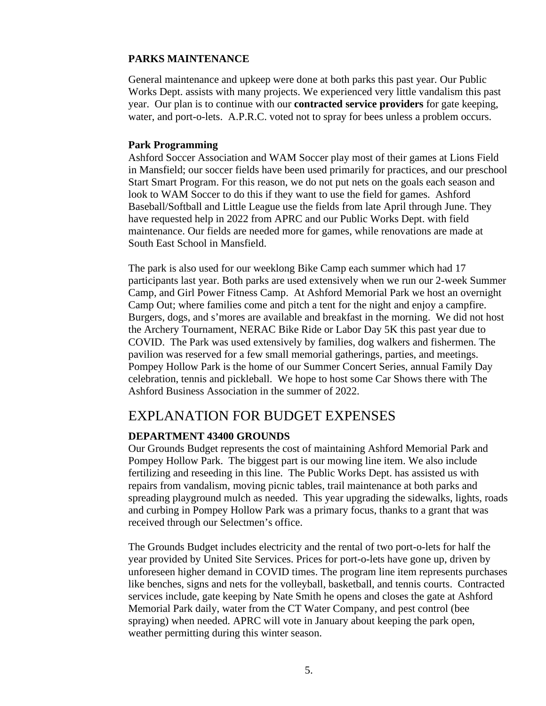#### **PARKS MAINTENANCE**

General maintenance and upkeep were done at both parks this past year. Our Public Works Dept. assists with many projects. We experienced very little vandalism this past year. Our plan is to continue with our **contracted service providers** for gate keeping, water, and port-o-lets. A.P.R.C. voted not to spray for bees unless a problem occurs.

#### **Park Programming**

Ashford Soccer Association and WAM Soccer play most of their games at Lions Field in Mansfield; our soccer fields have been used primarily for practices, and our preschool Start Smart Program. For this reason, we do not put nets on the goals each season and look to WAM Soccer to do this if they want to use the field for games. Ashford Baseball/Softball and Little League use the fields from late April through June. They have requested help in 2022 from APRC and our Public Works Dept. with field maintenance. Our fields are needed more for games, while renovations are made at South East School in Mansfield.

The park is also used for our weeklong Bike Camp each summer which had 17 participants last year. Both parks are used extensively when we run our 2-week Summer Camp, and Girl Power Fitness Camp. At Ashford Memorial Park we host an overnight Camp Out; where families come and pitch a tent for the night and enjoy a campfire. Burgers, dogs, and s'mores are available and breakfast in the morning. We did not host the Archery Tournament, NERAC Bike Ride or Labor Day 5K this past year due to COVID. The Park was used extensively by families, dog walkers and fishermen. The pavilion was reserved for a few small memorial gatherings, parties, and meetings. Pompey Hollow Park is the home of our Summer Concert Series, annual Family Day celebration, tennis and pickleball. We hope to host some Car Shows there with The Ashford Business Association in the summer of 2022.

## EXPLANATION FOR BUDGET EXPENSES

#### **DEPARTMENT 43400 GROUNDS**

Our Grounds Budget represents the cost of maintaining Ashford Memorial Park and Pompey Hollow Park. The biggest part is our mowing line item. We also include fertilizing and reseeding in this line. The Public Works Dept. has assisted us with repairs from vandalism, moving picnic tables, trail maintenance at both parks and spreading playground mulch as needed. This year upgrading the sidewalks, lights, roads and curbing in Pompey Hollow Park was a primary focus, thanks to a grant that was received through our Selectmen's office.

The Grounds Budget includes electricity and the rental of two port-o-lets for half the year provided by United Site Services. Prices for port-o-lets have gone up, driven by unforeseen higher demand in COVID times. The program line item represents purchases like benches, signs and nets for the volleyball, basketball, and tennis courts. Contracted services include, gate keeping by Nate Smith he opens and closes the gate at Ashford Memorial Park daily, water from the CT Water Company, and pest control (bee spraying) when needed. APRC will vote in January about keeping the park open, weather permitting during this winter season.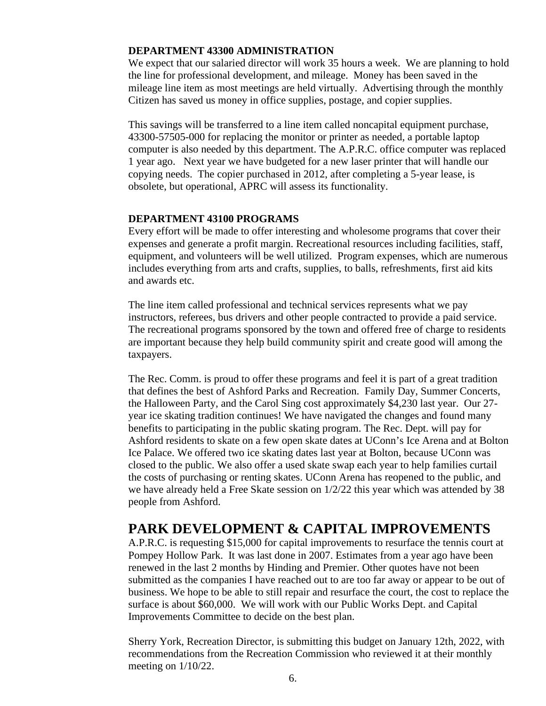#### **DEPARTMENT 43300 ADMINISTRATION**

We expect that our salaried director will work 35 hours a week. We are planning to hold the line for professional development, and mileage. Money has been saved in the mileage line item as most meetings are held virtually. Advertising through the monthly Citizen has saved us money in office supplies, postage, and copier supplies.

This savings will be transferred to a line item called noncapital equipment purchase, 43300-57505-000 for replacing the monitor or printer as needed, a portable laptop computer is also needed by this department. The A.P.R.C. office computer was replaced 1 year ago. Next year we have budgeted for a new laser printer that will handle our copying needs. The copier purchased in 2012, after completing a 5-year lease, is obsolete, but operational, APRC will assess its functionality.

#### **DEPARTMENT 43100 PROGRAMS**

Every effort will be made to offer interesting and wholesome programs that cover their expenses and generate a profit margin. Recreational resources including facilities, staff, equipment, and volunteers will be well utilized. Program expenses, which are numerous includes everything from arts and crafts, supplies, to balls, refreshments, first aid kits and awards etc.

The line item called professional and technical services represents what we pay instructors, referees, bus drivers and other people contracted to provide a paid service. The recreational programs sponsored by the town and offered free of charge to residents are important because they help build community spirit and create good will among the taxpayers.

The Rec. Comm. is proud to offer these programs and feel it is part of a great tradition that defines the best of Ashford Parks and Recreation. Family Day, Summer Concerts, the Halloween Party, and the Carol Sing cost approximately \$4,230 last year. Our 27 year ice skating tradition continues! We have navigated the changes and found many benefits to participating in the public skating program. The Rec. Dept. will pay for Ashford residents to skate on a few open skate dates at UConn's Ice Arena and at Bolton Ice Palace. We offered two ice skating dates last year at Bolton, because UConn was closed to the public. We also offer a used skate swap each year to help families curtail the costs of purchasing or renting skates. UConn Arena has reopened to the public, and we have already held a Free Skate session on 1/2/22 this year which was attended by 38 people from Ashford.

## **PARK DEVELOPMENT & CAPITAL IMPROVEMENTS**

A.P.R.C. is requesting \$15,000 for capital improvements to resurface the tennis court at Pompey Hollow Park. It was last done in 2007. Estimates from a year ago have been renewed in the last 2 months by Hinding and Premier. Other quotes have not been submitted as the companies I have reached out to are too far away or appear to be out of business. We hope to be able to still repair and resurface the court, the cost to replace the surface is about \$60,000. We will work with our Public Works Dept. and Capital Improvements Committee to decide on the best plan.

Sherry York, Recreation Director, is submitting this budget on January 12th, 2022, with recommendations from the Recreation Commission who reviewed it at their monthly meeting on 1/10/22.